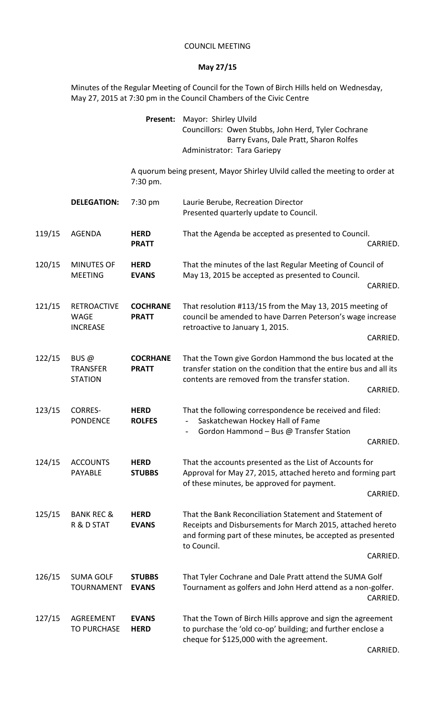## COUNCIL MEETING

## **May 27/15**

Minutes of the Regular Meeting of Council for the Town of Birch Hills held on Wednesday, May 27, 2015 at 7:30 pm in the Council Chambers of the Civic Centre

|        |                                                      | Present:                        | Mayor: Shirley Ulvild<br>Councillors: Owen Stubbs, John Herd, Tyler Cochrane<br>Barry Evans, Dale Pratt, Sharon Rolfes<br>Administrator: Tara Gariepy                                                           |          |  |
|--------|------------------------------------------------------|---------------------------------|-----------------------------------------------------------------------------------------------------------------------------------------------------------------------------------------------------------------|----------|--|
|        |                                                      | 7:30 pm.                        | A quorum being present, Mayor Shirley Ulvild called the meeting to order at                                                                                                                                     |          |  |
|        | <b>DELEGATION:</b>                                   | 7:30 pm                         | Laurie Berube, Recreation Director<br>Presented quarterly update to Council.                                                                                                                                    |          |  |
| 119/15 | <b>AGENDA</b>                                        | <b>HERD</b><br><b>PRATT</b>     | That the Agenda be accepted as presented to Council.                                                                                                                                                            | CARRIED. |  |
| 120/15 | <b>MINUTES OF</b><br><b>MEETING</b>                  | <b>HERD</b><br><b>EVANS</b>     | That the minutes of the last Regular Meeting of Council of<br>May 13, 2015 be accepted as presented to Council.                                                                                                 | CARRIED. |  |
| 121/15 | <b>RETROACTIVE</b><br><b>WAGE</b><br><b>INCREASE</b> | <b>COCHRANE</b><br><b>PRATT</b> | That resolution #113/15 from the May 13, 2015 meeting of<br>council be amended to have Darren Peterson's wage increase<br>retroactive to January 1, 2015.                                                       | CARRIED. |  |
| 122/15 | BUS $@$<br><b>TRANSFER</b><br><b>STATION</b>         | <b>COCRHANE</b><br><b>PRATT</b> | That the Town give Gordon Hammond the bus located at the<br>transfer station on the condition that the entire bus and all its<br>contents are removed from the transfer station.                                | CARRIED. |  |
| 123/15 | <b>CORRES-</b><br><b>PONDENCE</b>                    | <b>HERD</b><br><b>ROLFES</b>    | That the following correspondence be received and filed:<br>Saskatchewan Hockey Hall of Fame<br>Gordon Hammond - Bus @ Transfer Station                                                                         | CARRIED. |  |
| 124/15 | <b>ACCOUNTS</b><br><b>PAYABLE</b>                    | <b>HERD</b><br><b>STUBBS</b>    | That the accounts presented as the List of Accounts for<br>Approval for May 27, 2015, attached hereto and forming part<br>of these minutes, be approved for payment.                                            | CARRIED. |  |
| 125/15 | <b>BANK REC &amp;</b><br>R & D STAT                  | <b>HERD</b><br><b>EVANS</b>     | That the Bank Reconciliation Statement and Statement of<br>Receipts and Disbursements for March 2015, attached hereto<br>and forming part of these minutes, be accepted as presented<br>to Council.<br>CARRIED. |          |  |
| 126/15 | <b>SUMA GOLF</b><br><b>TOURNAMENT</b>                | <b>STUBBS</b><br><b>EVANS</b>   | That Tyler Cochrane and Dale Pratt attend the SUMA Golf<br>Tournament as golfers and John Herd attend as a non-golfer.                                                                                          | CARRIED. |  |
| 127/15 | <b>AGREEMENT</b><br><b>TO PURCHASE</b>               | <b>EVANS</b><br><b>HERD</b>     | That the Town of Birch Hills approve and sign the agreement<br>to purchase the 'old co-op' building; and further enclose a<br>cheque for \$125,000 with the agreement.                                          |          |  |

CARRIED.